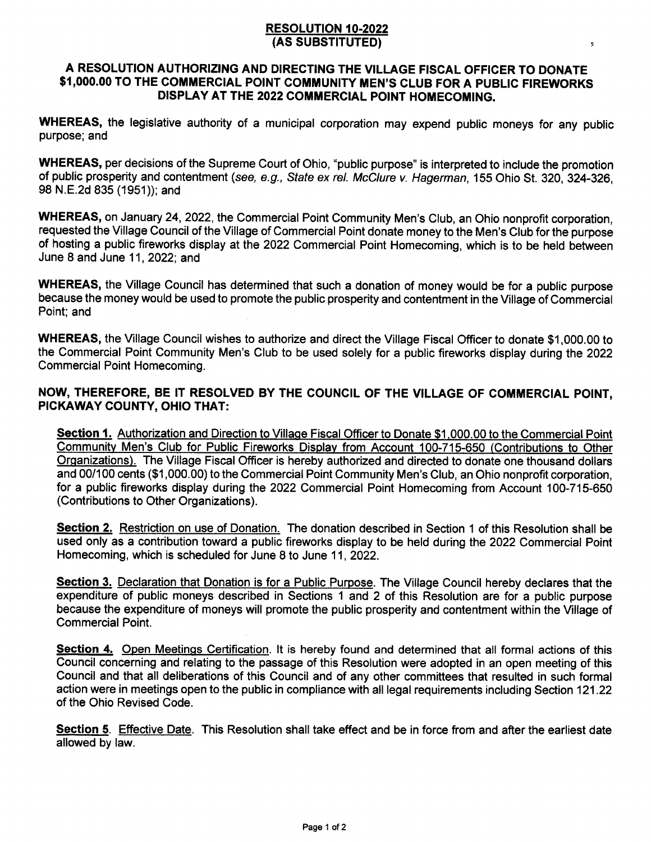## RESOLUTION 10.2022 (AS SUBSTTTUTED)

## A RESOLUTION AUTHORIZING AND DIRECTING THE VILLAGE FISCAL OFFICER TO DONATE \$1,000.00 TO THE COMMERCIAL POINT COMMUNITY MEN'S CLUB FOR A PUBLIC FIREWORKS DISPLAY AT THE 2022 COMMERCIAL POINT HOMECOMING.

WHEREAS, the legislative authority of a municipal corporation may expend public moneys for any public purpose; and

WHEREAS, per decisions of the Supreme Court of Ohio, "public purpose" is interpreted to include the promotion of public prosperity and contentment (see, e.g., State ex rel. McClure v. Hagerman, 155 Ohio St. 320, 324-326, 98 N.E.2d 835 (1951)); and

WHEREAS, on January 24, 2022, the Commercial Point Community Men's Club, an Ohio nonprofit corporation, requested the Village Council of the Village of Commercial Point donate money to the Men's Club for the purpose of hosting a public fireworks display at the 2022 Commercial Point Homecoming, which is to be held between June 8 and June 11,2022; and

WHEREAS, the Village Council has determined that such a donation of money would be for a public purpose because the money would be used to promote the public prosperity and contentment in the Village of Commercial Point; and

WHEREAS, the Village Council wishes to authorize and direct the Village Fiscal Officer to donate \$1,000.00 to the Commercial Point Community Men's Club to be used solely for a public fireworks display during the 2022 Commercial Point Homecoming.

## NOW, THEREFORE, BE IT RESOLVED BY THE COUNCIL OF THE VILLAGE OF COMMERCIAL POINT, PICKAWAY GOUNTY, OHIO THAT:

Section 1. Authorization and Direction to Village Fiscal Officer to Donate \$1,000.00 to the Commercial Point Communitv Men's Club for Public Fireworks Displav from Account 100-715-650 (Contributions to Other Orqanizations). The Village Fiscal Officer is hereby authorized and directed to donate one thousand dollars and 00/100 cents (\$1,000.00) to the Commercial Point Community Men's Club, an Ohio nonprofit corporation, for a public fireworks display during the 2022 Commercial Point Homecoming from Account 100-715-650 (Contributions to Other Organizations).

Section 2. Restriction on use of Donation. The donation described in Section 1 of this Resolution shall be used only as a contribution toward a public fireworks display to be held during the 2022 Commercial Point Homecoming, which is scheduled for June 8 to June 11,2022.

Section 3. Declaration that Donation is for a Public Purpose. The Village Council hereby declares that the expenditure of public moneys described in Sections 1 and 2 of this Resolution are for a public purpose because the expenditure of moneys will promote the public prosperity and contentment within the Village of Commercial Point.

Section 4. Open Meetings Certification. It is hereby found and determined that all formal actions of this Council concerning and relating to the passage of this Resolution were adopted in an open meeting of this Council and that all deliberations of this Council and of any other committees that resulted in such formal action were in meetings open to the public in compliance with all legal requirements including Section 121.22 of the Ohio Revised Code.

Section 5. Effective Date. This Resolution shall take effect and be in force from and after the earliest date allowed by law.